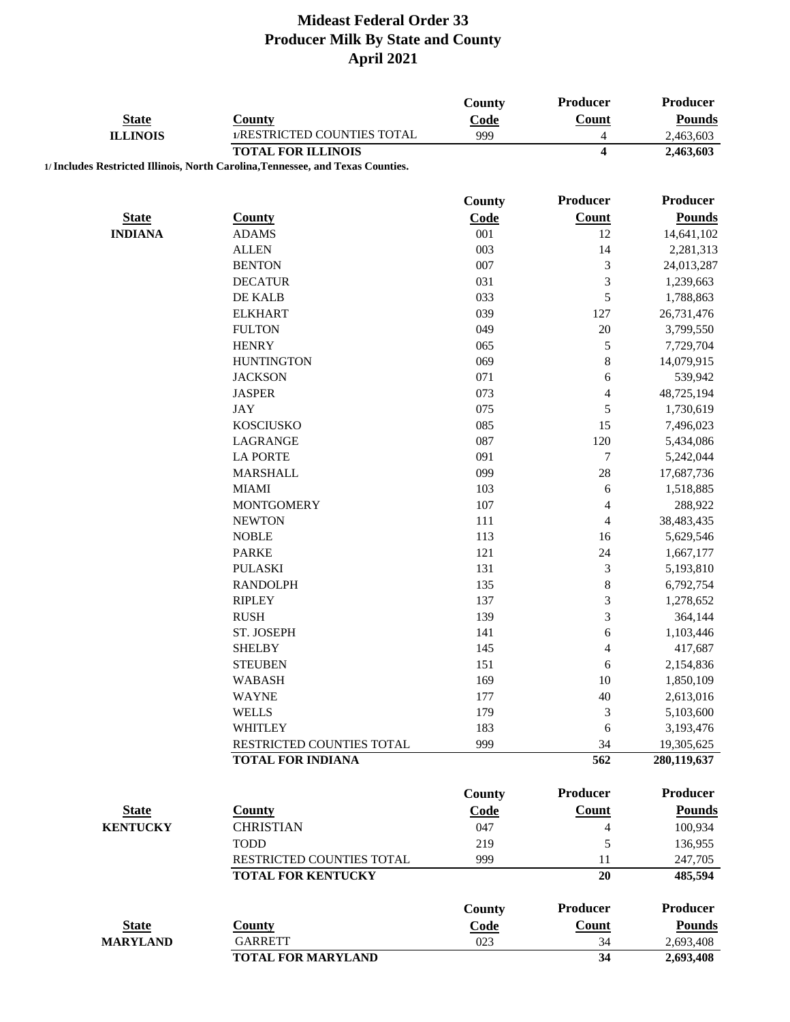|                 |                                                                                 | <b>County</b> | Producer                 | <b>Producer</b> |
|-----------------|---------------------------------------------------------------------------------|---------------|--------------------------|-----------------|
| <b>State</b>    | <b>County</b>                                                                   | Code          | <b>Count</b>             | <b>Pounds</b>   |
| <b>ILLINOIS</b> | 1/RESTRICTED COUNTIES TOTAL                                                     | 999           | $\overline{4}$           | 2,463,603       |
|                 | <b>TOTAL FOR ILLINOIS</b>                                                       |               | $\overline{\mathbf{4}}$  | 2,463,603       |
|                 | 1/ Includes Restricted Illinois, North Carolina, Tennessee, and Texas Counties. |               |                          |                 |
|                 |                                                                                 |               |                          |                 |
|                 |                                                                                 | <b>County</b> | Producer                 | <b>Producer</b> |
| <b>State</b>    | <b>County</b>                                                                   | Code          | <b>Count</b>             | <b>Pounds</b>   |
| <b>INDIANA</b>  | <b>ADAMS</b>                                                                    | 001           | 12                       | 14,641,102      |
|                 | <b>ALLEN</b>                                                                    | 003           | 14                       | 2,281,313       |
|                 | <b>BENTON</b>                                                                   | 007           | 3                        | 24,013,287      |
|                 | <b>DECATUR</b>                                                                  | 031           | 3                        | 1,239,663       |
|                 | DE KALB                                                                         | 033           | 5                        | 1,788,863       |
|                 | <b>ELKHART</b>                                                                  | 039           | 127                      | 26,731,476      |
|                 | <b>FULTON</b>                                                                   | 049           | 20                       | 3,799,550       |
|                 | <b>HENRY</b>                                                                    | 065           | 5                        | 7,729,704       |
|                 | <b>HUNTINGTON</b>                                                               | 069           | 8                        | 14,079,915      |
|                 | <b>JACKSON</b>                                                                  | 071           | 6                        | 539,942         |
|                 | <b>JASPER</b>                                                                   | 073           | $\overline{\mathcal{L}}$ | 48,725,194      |
|                 | JAY                                                                             | 075           | 5                        | 1,730,619       |
|                 | <b>KOSCIUSKO</b>                                                                | 085           | 15                       | 7,496,023       |
|                 | LAGRANGE                                                                        | 087           | 120                      | 5,434,086       |
|                 | <b>LA PORTE</b>                                                                 | 091           | 7                        | 5,242,044       |
|                 | <b>MARSHALL</b>                                                                 | 099           | 28                       | 17,687,736      |
|                 | <b>MIAMI</b>                                                                    | 103           | 6                        | 1,518,885       |
|                 | <b>MONTGOMERY</b>                                                               | 107           | 4                        | 288,922         |
|                 | <b>NEWTON</b>                                                                   | 111           | 4                        | 38,483,435      |
|                 | <b>NOBLE</b>                                                                    | 113           | 16                       | 5,629,546       |
|                 | <b>PARKE</b>                                                                    | 121           | 24                       | 1,667,177       |
|                 | <b>PULASKI</b>                                                                  | 131           | 3                        | 5,193,810       |
|                 | <b>RANDOLPH</b>                                                                 | 135           | 8                        | 6,792,754       |
|                 | <b>RIPLEY</b>                                                                   | 137           | 3                        | 1,278,652       |
|                 | <b>RUSH</b>                                                                     | 139           | 3                        | 364,144         |
|                 | ST. JOSEPH                                                                      | 141           | 6                        | 1,103,446       |
|                 | <b>SHELBY</b>                                                                   | 145           | $\overline{\mathcal{L}}$ | 417,687         |
|                 | <b>STEUBEN</b>                                                                  | 151           | 6                        | 2,154,836       |
|                 | <b>WABASH</b>                                                                   | 169           | 10                       | 1,850,109       |
|                 | <b>WAYNE</b>                                                                    | 177           | 40                       | 2,613,016       |
|                 | <b>WELLS</b>                                                                    | 179           | 3                        | 5,103,600       |
|                 | <b>WHITLEY</b>                                                                  | 183           | 6                        | 3,193,476       |
|                 | RESTRICTED COUNTIES TOTAL                                                       | 999           | 34                       | 19,305,625      |
|                 | <b>TOTAL FOR INDIANA</b>                                                        |               | 562                      | 280,119,637     |
|                 |                                                                                 |               |                          |                 |
|                 |                                                                                 | <b>County</b> | <b>Producer</b>          | <b>Producer</b> |
| <b>State</b>    | <b>County</b>                                                                   | Code          | <b>Count</b>             | <b>Pounds</b>   |
| <b>KENTUCKY</b> | <b>CHRISTIAN</b>                                                                | 047           | 4                        | 100,934         |
|                 | <b>TODD</b>                                                                     | 219           | 5                        | 136,955         |
|                 | RESTRICTED COUNTIES TOTAL                                                       | 999           | 11                       | 247,705         |
|                 | <b>TOTAL FOR KENTUCKY</b>                                                       |               | 20                       | 485,594         |
|                 |                                                                                 |               |                          |                 |
|                 |                                                                                 | <b>County</b> | <b>Producer</b>          | <b>Producer</b> |
| <b>State</b>    | <b>County</b>                                                                   | Code          | <b>Count</b>             | <b>Pounds</b>   |
| <b>MARYLAND</b> | <b>GARRETT</b>                                                                  | 023           | 34                       | 2,693,408       |
|                 | <b>TOTAL FOR MARYLAND</b>                                                       |               | $\overline{34}$          | 2,693,408       |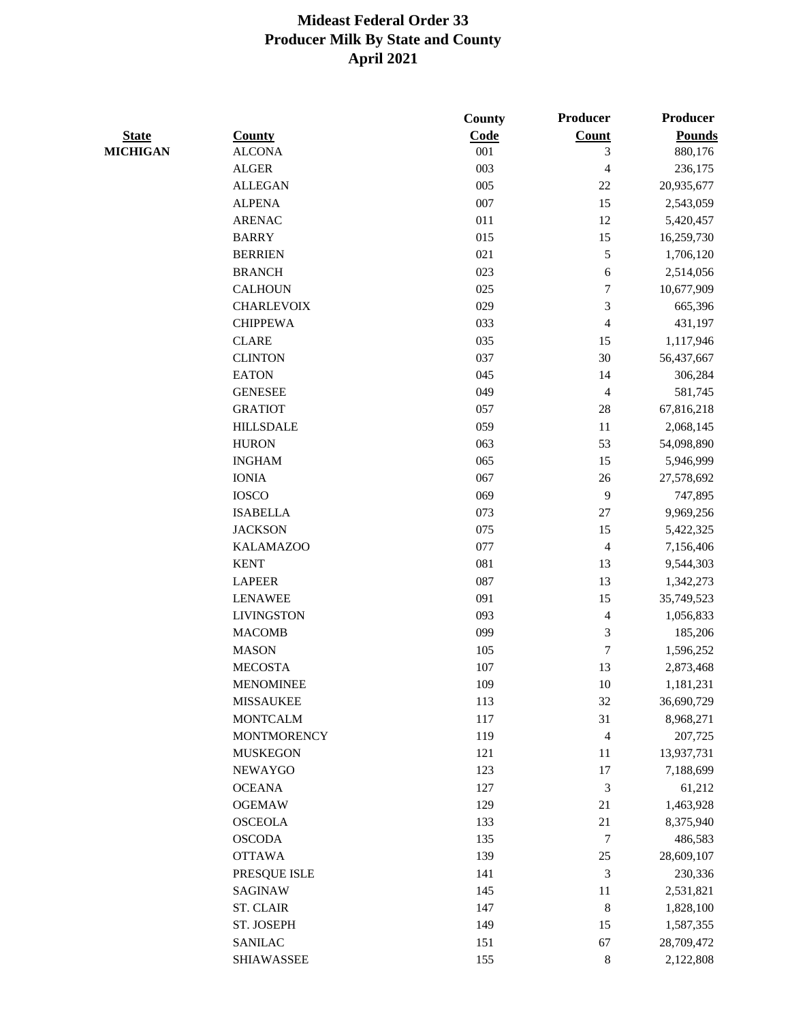|                 |                         | County     | Producer             | Producer      |
|-----------------|-------------------------|------------|----------------------|---------------|
| <b>State</b>    | <b>County</b>           | Code       | Count                | <b>Pounds</b> |
| <b>MICHIGAN</b> | <b>ALCONA</b>           | 001        | 3                    | 880,176       |
|                 | <b>ALGER</b>            | 003        | 4                    | 236,175       |
|                 | <b>ALLEGAN</b>          | 005        | $22\,$               | 20,935,677    |
|                 | <b>ALPENA</b>           | 007        | 15                   | 2,543,059     |
|                 | <b>ARENAC</b>           | 011        | 12                   | 5,420,457     |
|                 | <b>BARRY</b>            | 015        | 15                   | 16,259,730    |
|                 | <b>BERRIEN</b>          | 021        | 5                    | 1,706,120     |
|                 | <b>BRANCH</b>           | 023        | $\sqrt{6}$           | 2,514,056     |
|                 | <b>CALHOUN</b>          | 025        | 7                    | 10,677,909    |
|                 | <b>CHARLEVOIX</b>       | 029        | 3                    | 665,396       |
|                 | <b>CHIPPEWA</b>         | 033        | $\overline{4}$       | 431,197       |
|                 | <b>CLARE</b>            | 035        | 15                   | 1,117,946     |
|                 | <b>CLINTON</b>          | 037        | 30                   | 56,437,667    |
|                 | <b>EATON</b>            | 045        | 14                   | 306,284       |
|                 | <b>GENESEE</b>          | 049        | 4                    | 581,745       |
|                 | <b>GRATIOT</b>          | 057        | $28\,$               | 67,816,218    |
|                 | <b>HILLSDALE</b>        | 059        | 11                   | 2,068,145     |
|                 | <b>HURON</b>            | 063        | 53                   | 54,098,890    |
|                 | <b>INGHAM</b>           | 065        | 15                   | 5,946,999     |
|                 | <b>IONIA</b>            | 067        | $26\,$               | 27,578,692    |
|                 | <b>IOSCO</b>            | 069        | 9                    | 747,895       |
|                 | <b>ISABELLA</b>         | 073        | $27\,$               | 9,969,256     |
|                 | <b>JACKSON</b>          | 075        | 15                   | 5,422,325     |
|                 | <b>KALAMAZOO</b>        | 077        | 4                    | 7,156,406     |
|                 | <b>KENT</b>             | 081        | 13                   | 9,544,303     |
|                 | <b>LAPEER</b>           | 087        | 13                   | 1,342,273     |
|                 | <b>LENAWEE</b>          | 091        | 15                   | 35,749,523    |
|                 | <b>LIVINGSTON</b>       | 093        | $\overline{4}$       | 1,056,833     |
|                 | <b>MACOMB</b>           | 099        | 3                    | 185,206       |
|                 | <b>MASON</b>            | 105        | 7                    | 1,596,252     |
|                 | <b>MECOSTA</b>          | 107        | 13                   | 2,873,468     |
|                 | <b>MENOMINEE</b>        | 109        | 10                   | 1,181,231     |
|                 | <b>MISSAUKEE</b>        | 113        | 32                   | 36,690,729    |
|                 | <b>MONTCALM</b>         | 117        | 31                   | 8,968,271     |
|                 | <b>MONTMORENCY</b>      | 119        | $\overline{4}$       | 207,725       |
|                 | <b>MUSKEGON</b>         | 121        | 11                   | 13,937,731    |
|                 | <b>NEWAYGO</b>          | 123        | 17                   | 7,188,699     |
|                 | <b>OCEANA</b>           | 127        | $\mathfrak{Z}$       | 61,212        |
|                 | <b>OGEMAW</b>           | 129        | 21                   | 1,463,928     |
|                 | <b>OSCEOLA</b>          | 133        | 21                   | 8,375,940     |
|                 | <b>OSCODA</b>           | 135        | 7                    | 486,583       |
|                 | <b>OTTAWA</b>           | 139        | 25                   | 28,609,107    |
|                 |                         |            |                      |               |
|                 | PRESQUE ISLE<br>SAGINAW | 141<br>145 | $\mathfrak{Z}$<br>11 | 230,336       |
|                 |                         |            |                      | 2,531,821     |
|                 | <b>ST. CLAIR</b>        | 147        | $\bf 8$              | 1,828,100     |
|                 | ST. JOSEPH              | 149        | 15                   | 1,587,355     |
|                 | <b>SANILAC</b>          | 151        | 67                   | 28,709,472    |
|                 | <b>SHIAWASSEE</b>       | 155        | $\,8\,$              | 2,122,808     |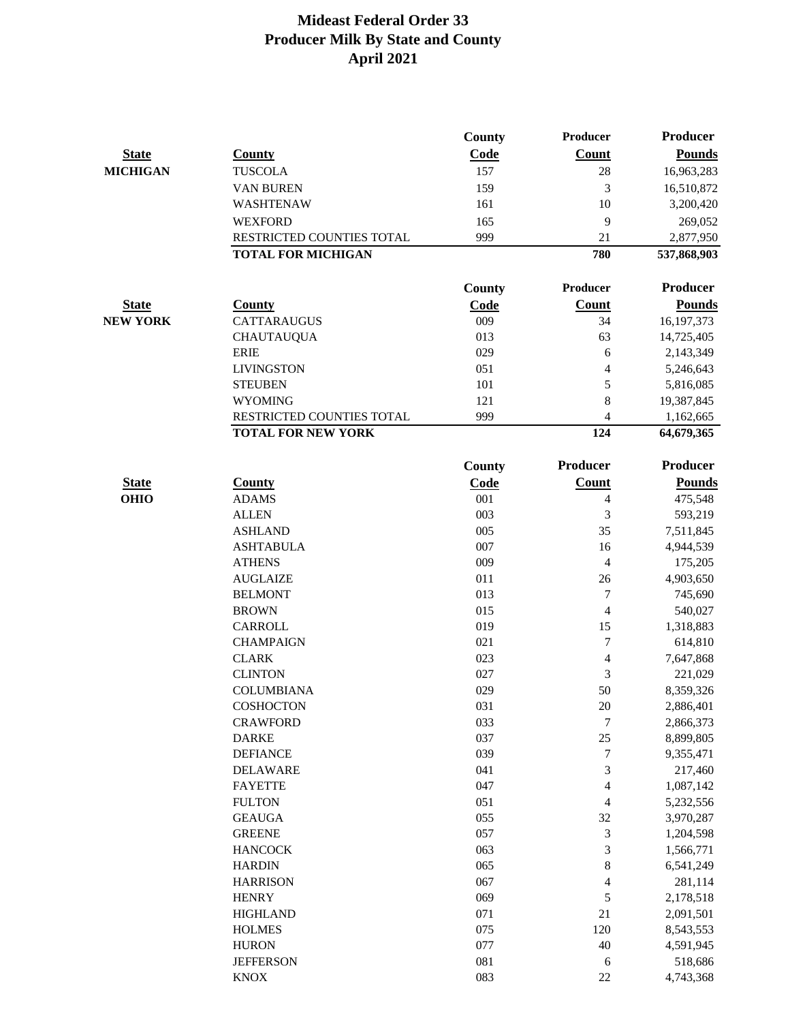|                             |                               | <b>County</b> | Producer        | <b>Producer</b>          |
|-----------------------------|-------------------------------|---------------|-----------------|--------------------------|
| <b>State</b>                | <b>County</b>                 | Code          | <b>Count</b>    | <b>Pounds</b>            |
| <b>MICHIGAN</b>             | <b>TUSCOLA</b>                | 157           | 28              | 16,963,283               |
|                             | VAN BUREN                     | 159           | 3               | 16,510,872               |
|                             | WASHTENAW                     | 161           | 10              | 3,200,420                |
|                             | <b>WEXFORD</b>                | 165           | 9               | 269,052                  |
|                             | RESTRICTED COUNTIES TOTAL     | 999           | 21              | 2,877,950                |
|                             | <b>TOTAL FOR MICHIGAN</b>     |               | 780             | 537,868,903              |
|                             |                               | <b>County</b> | <b>Producer</b> | <b>Producer</b>          |
| <b>State</b>                | <b>County</b>                 | Code          | Count           | <b>Pounds</b>            |
| <b>NEW YORK</b>             | <b>CATTARAUGUS</b>            | 009           | 34              | 16, 197, 373             |
|                             | <b>CHAUTAUQUA</b>             | 013           | 63              |                          |
|                             | <b>ERIE</b>                   | 029           | 6               | 14,725,405               |
|                             | <b>LIVINGSTON</b>             | 051           | 4               | 2,143,349<br>5,246,643   |
|                             | <b>STEUBEN</b>                | 101           | 5               | 5,816,085                |
|                             | <b>WYOMING</b>                | 121           | 8               | 19,387,845               |
|                             | RESTRICTED COUNTIES TOTAL     | 999           | 4               | 1,162,665                |
|                             | <b>TOTAL FOR NEW YORK</b>     |               | 124             | 64,679,365               |
|                             |                               | <b>County</b> | Producer        | <b>Producer</b>          |
|                             |                               | Code          | <b>Count</b>    |                          |
| <b>State</b><br><b>OHIO</b> | <b>County</b><br><b>ADAMS</b> | 001           | 4               | <b>Pounds</b><br>475,548 |
|                             | <b>ALLEN</b>                  | 003           | 3               | 593,219                  |
|                             | <b>ASHLAND</b>                | 005           | 35              | 7,511,845                |
|                             | <b>ASHTABULA</b>              | 007           | 16              | 4,944,539                |
|                             | <b>ATHENS</b>                 | 009           | 4               | 175,205                  |
|                             | <b>AUGLAIZE</b>               | 011           | 26              | 4,903,650                |
|                             | <b>BELMONT</b>                | 013           | 7               | 745,690                  |
|                             | <b>BROWN</b>                  | 015           | 4               | 540,027                  |
|                             | CARROLL                       | 019           | 15              | 1,318,883                |
|                             | <b>CHAMPAIGN</b>              | 021           | 7               | 614,810                  |
|                             | <b>CLARK</b>                  | 023           | 4               | 7,647,868                |
|                             | <b>CLINTON</b>                | 027           | 3               | 221,029                  |
|                             | <b>COLUMBIANA</b>             | 029           | 50              | 8,359,326                |
|                             | COSHOCTON                     | 031           | 20              | 2,886,401                |
|                             | <b>CRAWFORD</b>               | 033           | $\overline{7}$  | 2,866,373                |
|                             | <b>DARKE</b>                  | 037           | 25              | 8,899,805                |
|                             | <b>DEFIANCE</b>               | 039           | 7               | 9,355,471                |
|                             | <b>DELAWARE</b>               | 041           | 3               | 217,460                  |
|                             | <b>FAYETTE</b>                | 047           | 4               | 1,087,142                |
|                             | <b>FULTON</b>                 | 051           | 4               | 5,232,556                |
|                             | <b>GEAUGA</b>                 | 055           | 32              | 3,970,287                |
|                             | <b>GREENE</b>                 | 057           | 3               | 1,204,598                |
|                             | <b>HANCOCK</b>                | 063           | 3               | 1,566,771                |
|                             | <b>HARDIN</b>                 | 065           | 8               | 6,541,249                |
|                             | <b>HARRISON</b>               | 067           | 4               | 281,114                  |
|                             | <b>HENRY</b>                  | 069           | 5               | 2,178,518                |
|                             | <b>HIGHLAND</b>               | 071           | 21              | 2,091,501                |
|                             | <b>HOLMES</b>                 | 075           | 120             | 8,543,553                |
|                             | <b>HURON</b>                  | 077           | 40              | 4,591,945                |
|                             | <b>JEFFERSON</b>              | 081           | 6               | 518,686                  |
|                             | <b>KNOX</b>                   | 083           | $22\,$          | 4,743,368                |
|                             |                               |               |                 |                          |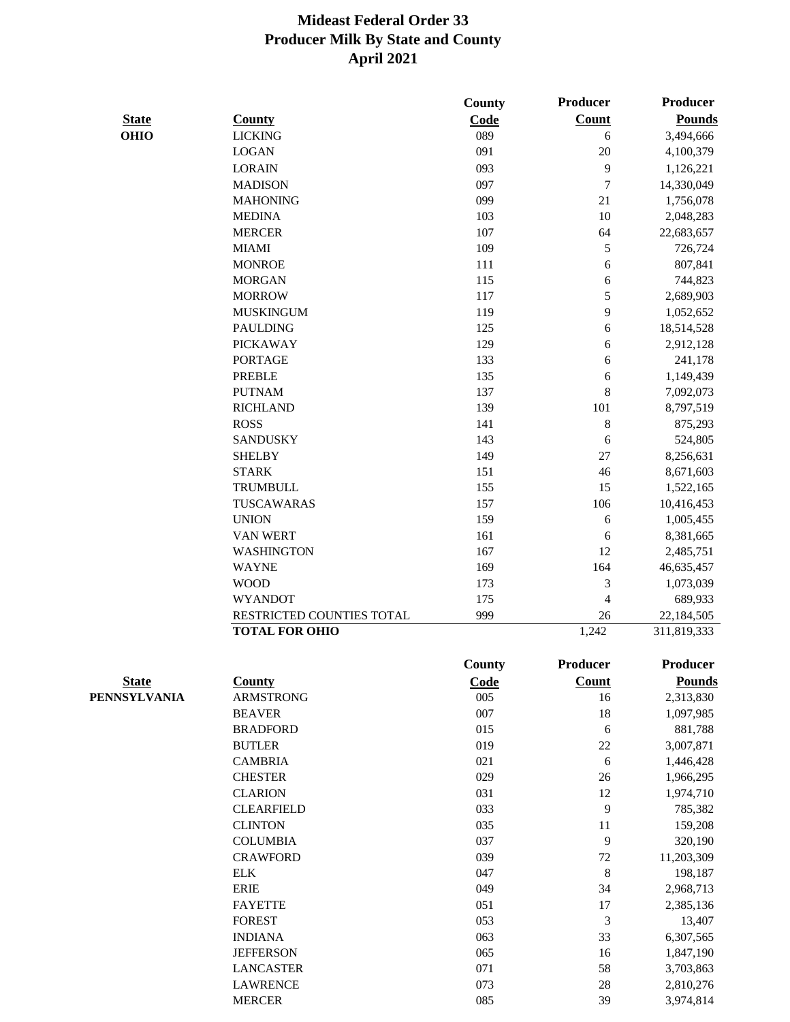|              |                           | County      | Producer                 | Producer      |
|--------------|---------------------------|-------------|--------------------------|---------------|
| <b>State</b> | <b>County</b>             | Code        | <b>Count</b>             | <b>Pounds</b> |
| <b>OHIO</b>  | <b>LICKING</b>            | 089         | 6                        | 3,494,666     |
|              | <b>LOGAN</b>              | 091         | 20                       | 4,100,379     |
|              | <b>LORAIN</b>             | 093         | 9                        | 1,126,221     |
|              | <b>MADISON</b>            | 097         | $\overline{7}$           | 14,330,049    |
|              | <b>MAHONING</b>           | 099         | $21\,$                   | 1,756,078     |
|              | <b>MEDINA</b>             | 103         | $10\,$                   | 2,048,283     |
|              | <b>MERCER</b>             | 107         | 64                       | 22,683,657    |
|              | <b>MIAMI</b>              | 109         | 5                        | 726,724       |
|              | <b>MONROE</b>             | 111         | 6                        | 807,841       |
|              | <b>MORGAN</b>             | 115         | 6                        | 744,823       |
|              | <b>MORROW</b>             | 117         | 5                        | 2,689,903     |
|              | <b>MUSKINGUM</b>          | 119         | 9                        | 1,052,652     |
|              | <b>PAULDING</b>           | 125         | 6                        | 18,514,528    |
|              | <b>PICKAWAY</b>           | 129         | 6                        | 2,912,128     |
|              | <b>PORTAGE</b>            | 133         | 6                        | 241,178       |
|              | <b>PREBLE</b>             | 135         | 6                        | 1,149,439     |
|              | <b>PUTNAM</b>             | 137         | $\bf 8$                  | 7,092,073     |
|              | <b>RICHLAND</b>           | 139         | 101                      | 8,797,519     |
|              | <b>ROSS</b>               | 141         | $\,$ 8 $\,$              | 875,293       |
|              | <b>SANDUSKY</b>           | 143         | 6                        | 524,805       |
|              | <b>SHELBY</b>             | 149         | 27                       | 8,256,631     |
|              | <b>STARK</b>              | 151         | 46                       | 8,671,603     |
|              | <b>TRUMBULL</b>           | 155         | 15                       | 1,522,165     |
|              | TUSCAWARAS                | 157         | 106                      | 10,416,453    |
|              | <b>UNION</b>              | 159         | 6                        | 1,005,455     |
|              | <b>VAN WERT</b>           | 161         | 6                        | 8,381,665     |
|              | <b>WASHINGTON</b>         | 167         | 12                       | 2,485,751     |
|              | <b>WAYNE</b>              | 169         | 164                      | 46,635,457    |
|              | <b>WOOD</b>               | 173         | $\mathfrak{Z}$           | 1,073,039     |
|              | <b>WYANDOT</b>            | 175         | $\overline{\mathcal{L}}$ | 689,933       |
|              | RESTRICTED COUNTIES TOTAL | 999         | 26                       | 22,184,505    |
|              | <b>TOTAL FOR OHIO</b>     |             | 1,242                    | 311,819,333   |
|              |                           | County      | Producer                 | Producer      |
| <b>State</b> | <b>County</b>             | <b>Code</b> | <b>Count</b>             | <b>Pounds</b> |
| PENNSYLVANIA | <b>ARMSTRONG</b>          | 005         | 16                       | 2,313,830     |
|              | <b>BEAVER</b>             | 007         | 18                       | 1,097,985     |
|              | <b>BRADFORD</b>           | 015         | 6                        | 881,788       |
|              | <b>BUTLER</b>             | 019         | $22\,$                   | 3,007,871     |
|              | <b>CAMBRIA</b>            | 021         | $\sqrt{6}$               | 1,446,428     |
|              | <b>CHESTER</b>            | 029         | $26\,$                   | 1,966,295     |
|              | <b>CLARION</b>            | 031         | 12                       | 1,974,710     |
|              | <b>CLEARFIELD</b>         | 033         | 9                        | 785,382       |
|              | <b>CLINTON</b>            | 035         | 11                       | 159,208       |
|              | <b>COLUMBIA</b>           | 037         | 9                        | 320,190       |
|              | <b>CRAWFORD</b>           | 039         | $72\,$                   | 11,203,309    |
|              | <b>ELK</b>                | 047         | $\,$ 8 $\,$              | 198,187       |
|              | <b>ERIE</b>               | 049         | 34                       | 2,968,713     |
|              |                           |             |                          |               |

FAYETTE 051 17 2,385,136 FOREST 653 3 13,407 INDIANA 063 33 6,307,565 JEFFERSON 065 16 1,847,190 LANCASTER 071 58 3,703,863 LAWRENCE 073 28 2,810,276 MERCER 085 39 3,974,814